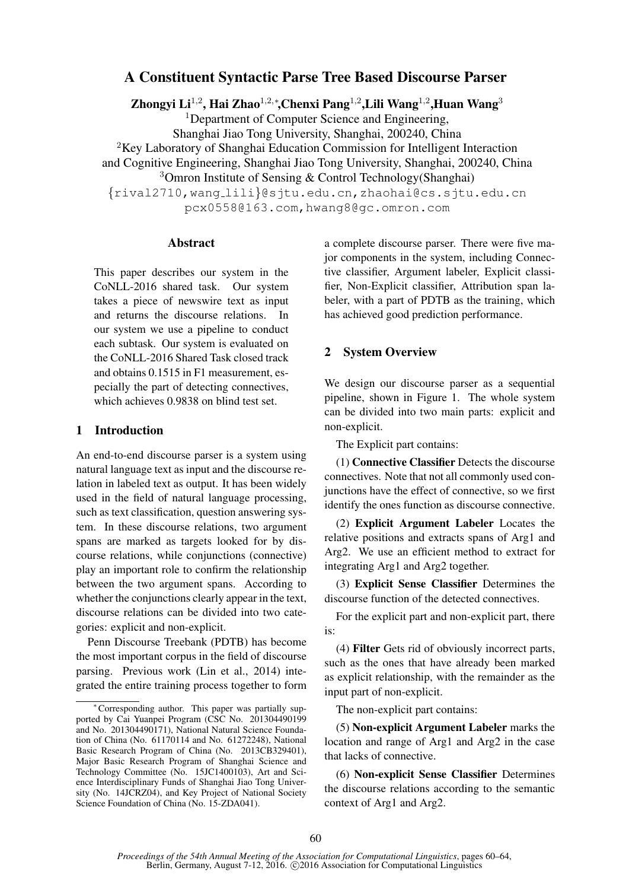# A Constituent Syntactic Parse Tree Based Discourse Parser

Zhongyi Li $^{1,2}$ , Hai Zhao $^{1,2,*}$ ,Chenxi Pang $^{1,2}$ ,Lili Wang $^{1,2}$ ,Huan Wang $^3$ 

<sup>1</sup>Department of Computer Science and Engineering, Shanghai Jiao Tong University, Shanghai, 200240, China <sup>2</sup>Key Laboratory of Shanghai Education Commission for Intelligent Interaction and Cognitive Engineering, Shanghai Jiao Tong University, Shanghai, 200240, China <sup>3</sup>Omron Institute of Sensing & Control Technology(Shanghai) {rival2710,wang lili}@sjtu.edu.cn,zhaohai@cs.sjtu.edu.cn pcx0558@163.com,hwang8@gc.omron.com

#### Abstract

This paper describes our system in the CoNLL-2016 shared task. Our system takes a piece of newswire text as input and returns the discourse relations. In our system we use a pipeline to conduct each subtask. Our system is evaluated on the CoNLL-2016 Shared Task closed track and obtains 0.1515 in F1 measurement, especially the part of detecting connectives, which achieves 0.9838 on blind test set.

# 1 Introduction

An end-to-end discourse parser is a system using natural language text as input and the discourse relation in labeled text as output. It has been widely used in the field of natural language processing, such as text classification, question answering system. In these discourse relations, two argument spans are marked as targets looked for by discourse relations, while conjunctions (connective) play an important role to confirm the relationship between the two argument spans. According to whether the conjunctions clearly appear in the text, discourse relations can be divided into two categories: explicit and non-explicit.

Penn Discourse Treebank (PDTB) has become the most important corpus in the field of discourse parsing. Previous work (Lin et al., 2014) integrated the entire training process together to form

a complete discourse parser. There were five major components in the system, including Connective classifier, Argument labeler, Explicit classifier, Non-Explicit classifier, Attribution span labeler, with a part of PDTB as the training, which has achieved good prediction performance.

# 2 System Overview

We design our discourse parser as a sequential pipeline, shown in Figure 1. The whole system can be divided into two main parts: explicit and non-explicit.

The Explicit part contains:

(1) Connective Classifier Detects the discourse connectives. Note that not all commonly used conjunctions have the effect of connective, so we first identify the ones function as discourse connective.

(2) Explicit Argument Labeler Locates the relative positions and extracts spans of Arg1 and Arg2. We use an efficient method to extract for integrating Arg1 and Arg2 together.

(3) Explicit Sense Classifier Determines the discourse function of the detected connectives.

For the explicit part and non-explicit part, there is:

(4) Filter Gets rid of obviously incorrect parts, such as the ones that have already been marked as explicit relationship, with the remainder as the input part of non-explicit.

The non-explicit part contains:

(5) Non-explicit Argument Labeler marks the location and range of Arg1 and Arg2 in the case that lacks of connective.

(6) Non-explicit Sense Classifier Determines the discourse relations according to the semantic context of Arg1 and Arg2.

<sup>∗</sup>Corresponding author. This paper was partially supported by Cai Yuanpei Program (CSC No. 201304490199 and No. 201304490171), National Natural Science Foundation of China (No. 61170114 and No. 61272248), National Basic Research Program of China (No. 2013CB329401), Major Basic Research Program of Shanghai Science and Technology Committee (No. 15JC1400103), Art and Science Interdisciplinary Funds of Shanghai Jiao Tong University (No. 14JCRZ04), and Key Project of National Society Science Foundation of China (No. 15-ZDA041).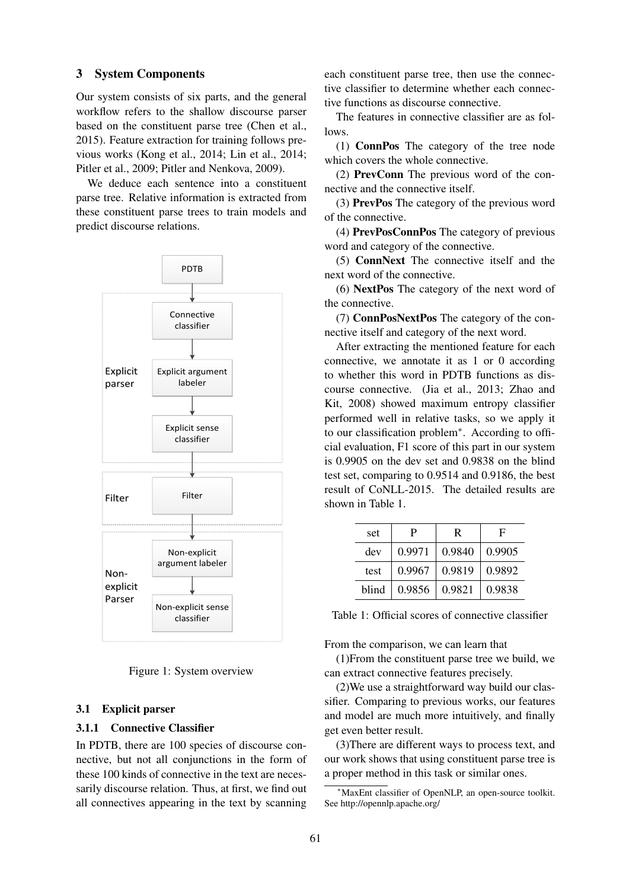#### 3 System Components

Our system consists of six parts, and the general workflow refers to the shallow discourse parser based on the constituent parse tree (Chen et al., 2015). Feature extraction for training follows previous works (Kong et al., 2014; Lin et al., 2014; Pitler et al., 2009; Pitler and Nenkova, 2009).

We deduce each sentence into a constituent parse tree. Relative information is extracted from these constituent parse trees to train models and predict discourse relations.



Figure 1: System overview

#### 3.1 Explicit parser

## 3.1.1 Connective Classifier

In PDTB, there are 100 species of discourse connective, but not all conjunctions in the form of these 100 kinds of connective in the text are necessarily discourse relation. Thus, at first, we find out all connectives appearing in the text by scanning

each constituent parse tree, then use the connective classifier to determine whether each connective functions as discourse connective.

The features in connective classifier are as follows.

(1) ConnPos The category of the tree node which covers the whole connective.

(2) PrevConn The previous word of the connective and the connective itself.

(3) PrevPos The category of the previous word of the connective.

(4) PrevPosConnPos The category of previous word and category of the connective.

(5) ConnNext The connective itself and the next word of the connective.

(6) NextPos The category of the next word of the connective.

(7) ConnPosNextPos The category of the connective itself and category of the next word.

After extracting the mentioned feature for each connective, we annotate it as 1 or 0 according to whether this word in PDTB functions as discourse connective. (Jia et al., 2013; Zhao and Kit, 2008) showed maximum entropy classifier performed well in relative tasks, so we apply it to our classification problem∗ . According to official evaluation, F1 score of this part in our system is 0.9905 on the dev set and 0.9838 on the blind test set, comparing to 0.9514 and 0.9186, the best result of CoNLL-2015. The detailed results are shown in Table 1.

| set   | P      | R      | F      |
|-------|--------|--------|--------|
| dev   | 0.9971 | 0.9840 | 0.9905 |
| test  | 0.9967 | 0.9819 | 0.9892 |
| blind | 0.9856 | 0.9821 | 0.9838 |

Table 1: Official scores of connective classifier

From the comparison, we can learn that

(1)From the constituent parse tree we build, we can extract connective features precisely.

(2)We use a straightforward way build our classifier. Comparing to previous works, our features and model are much more intuitively, and finally get even better result.

(3)There are different ways to process text, and our work shows that using constituent parse tree is a proper method in this task or similar ones.

MaxEnt classifier of OpenNLP, an open-source toolkit. See http://opennlp.apache.org/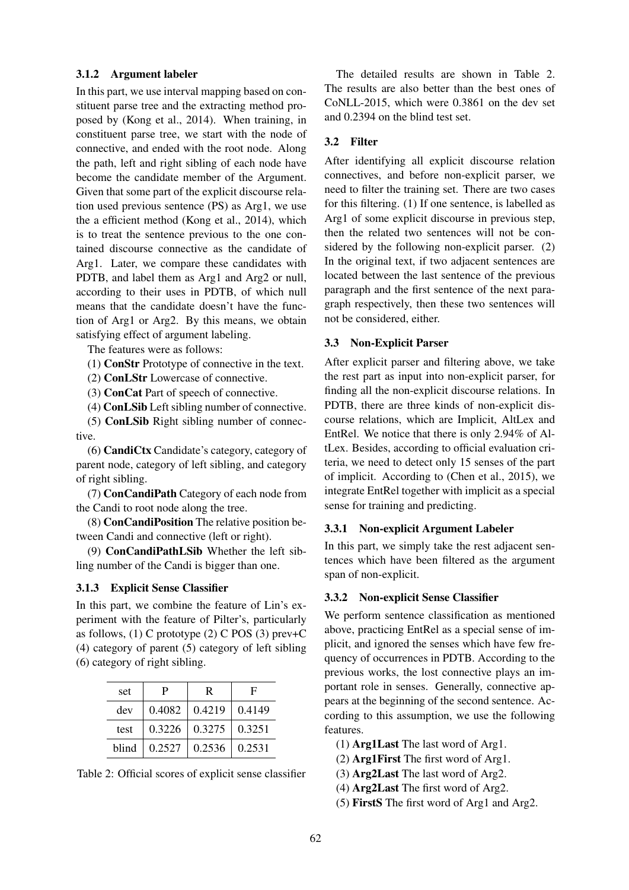### 3.1.2 Argument labeler

In this part, we use interval mapping based on constituent parse tree and the extracting method proposed by (Kong et al., 2014). When training, in constituent parse tree, we start with the node of connective, and ended with the root node. Along the path, left and right sibling of each node have become the candidate member of the Argument. Given that some part of the explicit discourse relation used previous sentence (PS) as Arg1, we use the a efficient method (Kong et al., 2014), which is to treat the sentence previous to the one contained discourse connective as the candidate of Arg1. Later, we compare these candidates with PDTB, and label them as Arg1 and Arg2 or null, according to their uses in PDTB, of which null means that the candidate doesn't have the function of Arg1 or Arg2. By this means, we obtain satisfying effect of argument labeling.

The features were as follows:

(1) ConStr Prototype of connective in the text.

(2) ConLStr Lowercase of connective.

(3) ConCat Part of speech of connective.

(4) ConLSib Left sibling number of connective. (5) ConLSib Right sibling number of connec-

tive. (6) CandiCtx Candidate's category, category of parent node, category of left sibling, and category of right sibling.

(7) ConCandiPath Category of each node from the Candi to root node along the tree.

(8) ConCandiPosition The relative position between Candi and connective (left or right).

(9) ConCandiPathLSib Whether the left sibling number of the Candi is bigger than one.

### 3.1.3 Explicit Sense Classifier

In this part, we combine the feature of Lin's experiment with the feature of Pilter's, particularly as follows,  $(1)$  C prototype  $(2)$  C POS  $(3)$  prev+C (4) category of parent (5) category of left sibling (6) category of right sibling.

| set  | P                                      | R                              | F      |
|------|----------------------------------------|--------------------------------|--------|
| dev  |                                        | $0.4082 \mid 0.4219$           | 0.4149 |
| test |                                        | $0.3226$   $0.3275$   $0.3251$ |        |
|      | blind   $0.2527$   $0.2536$   $0.2531$ |                                |        |

Table 2: Official scores of explicit sense classifier

The detailed results are shown in Table 2. The results are also better than the best ones of CoNLL-2015, which were 0.3861 on the dev set and 0.2394 on the blind test set.

#### 3.2 Filter

After identifying all explicit discourse relation connectives, and before non-explicit parser, we need to filter the training set. There are two cases for this filtering. (1) If one sentence, is labelled as Arg1 of some explicit discourse in previous step, then the related two sentences will not be considered by the following non-explicit parser. (2) In the original text, if two adjacent sentences are located between the last sentence of the previous paragraph and the first sentence of the next paragraph respectively, then these two sentences will not be considered, either.

## 3.3 Non-Explicit Parser

After explicit parser and filtering above, we take the rest part as input into non-explicit parser, for finding all the non-explicit discourse relations. In PDTB, there are three kinds of non-explicit discourse relations, which are Implicit, AltLex and EntRel. We notice that there is only 2.94% of AltLex. Besides, according to official evaluation criteria, we need to detect only 15 senses of the part of implicit. According to (Chen et al., 2015), we integrate EntRel together with implicit as a special sense for training and predicting.

## 3.3.1 Non-explicit Argument Labeler

In this part, we simply take the rest adjacent sentences which have been filtered as the argument span of non-explicit.

#### 3.3.2 Non-explicit Sense Classifier

We perform sentence classification as mentioned above, practicing EntRel as a special sense of implicit, and ignored the senses which have few frequency of occurrences in PDTB. According to the previous works, the lost connective plays an important role in senses. Generally, connective appears at the beginning of the second sentence. According to this assumption, we use the following features.

- (1) Arg1Last The last word of Arg1.
- (2) Arg1First The first word of Arg1.
- (3) Arg2Last The last word of Arg2.
- (4) Arg2Last The first word of Arg2.
- (5) FirstS The first word of Arg1 and Arg2.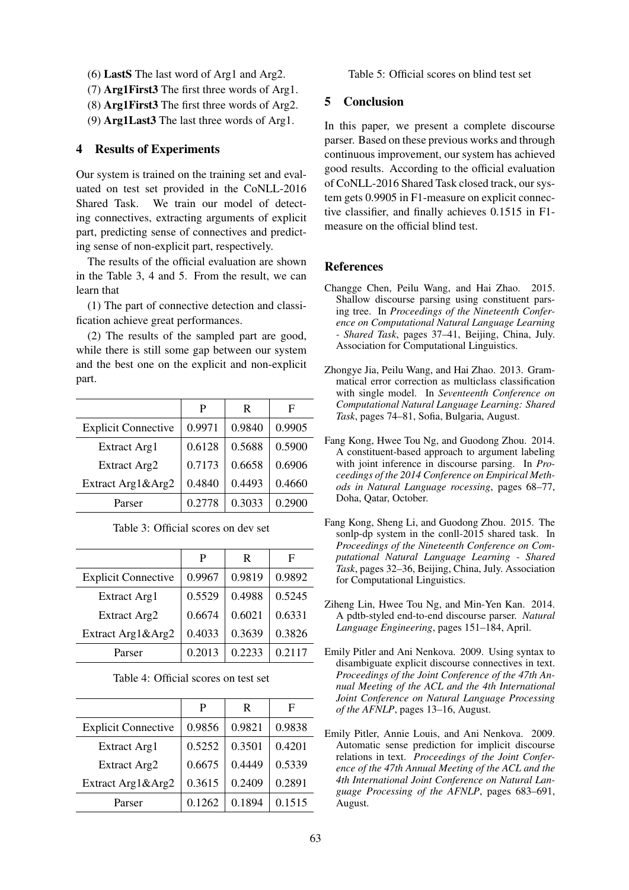- (6) LastS The last word of Arg1 and Arg2.
- (7) Arg1First3 The first three words of Arg1.
- (8) Arg1First3 The first three words of Arg2.
- (9) Arg1Last3 The last three words of Arg1.

### 4 Results of Experiments

Our system is trained on the training set and evaluated on test set provided in the CoNLL-2016 Shared Task. We train our model of detecting connectives, extracting arguments of explicit part, predicting sense of connectives and predicting sense of non-explicit part, respectively.

The results of the official evaluation are shown in the Table 3, 4 and 5. From the result, we can learn that

(1) The part of connective detection and classification achieve great performances.

(2) The results of the sampled part are good, while there is still some gap between our system and the best one on the explicit and non-explicit part.

|                            | P      | R      | Е      |
|----------------------------|--------|--------|--------|
| <b>Explicit Connective</b> | 0.9971 | 0.9840 | 0.9905 |
| Extract Arg1               | 0.6128 | 0.5688 | 0.5900 |
| Extract Arg2               | 0.7173 | 0.6658 | 0.6906 |
| Extract Arg1&Arg2          | 0.4840 | 0.4493 | 0.4660 |
| Parser                     | 0.2778 | 0.3033 | 0.2900 |

Table 3: Official scores on dev set

|                            | P      | R      | Е      |
|----------------------------|--------|--------|--------|
| <b>Explicit Connective</b> | 0.9967 | 0.9819 | 0.9892 |
| Extract Arg1               | 0.5529 | 0.4988 | 0.5245 |
| Extract Arg2               | 0.6674 | 0.6021 | 0.6331 |
| Extract Arg1&Arg2          | 0.4033 | 0.3639 | 0.3826 |
| Parser                     | 0.2013 | 0.2233 | 0.2117 |

|                            | P      | R      | F      |
|----------------------------|--------|--------|--------|
| <b>Explicit Connective</b> | 0.9856 | 0.9821 | 0.9838 |
| Extract Arg1               | 0.5252 | 0.3501 | 0.4201 |
| Extract Arg2               | 0.6675 | 0.4449 | 0.5339 |
| Extract Arg1&Arg2          | 0.3615 | 0.2409 | 0.2891 |
| Parser                     | 0.1262 | 0.1894 | 0.1515 |

Table 5: Official scores on blind test set

# 5 Conclusion

In this paper, we present a complete discourse parser. Based on these previous works and through continuous improvement, our system has achieved good results. According to the official evaluation of CoNLL-2016 Shared Task closed track, our system gets 0.9905 in F1-measure on explicit connective classifier, and finally achieves 0.1515 in F1 measure on the official blind test.

#### References

- Changge Chen, Peilu Wang, and Hai Zhao. 2015. Shallow discourse parsing using constituent parsing tree. In *Proceedings of the Nineteenth Conference on Computational Natural Language Learning - Shared Task*, pages 37–41, Beijing, China, July. Association for Computational Linguistics.
- Zhongye Jia, Peilu Wang, and Hai Zhao. 2013. Grammatical error correction as multiclass classification with single model. In *Seventeenth Conference on Computational Natural Language Learning: Shared Task*, pages 74–81, Sofia, Bulgaria, August.
- Fang Kong, Hwee Tou Ng, and Guodong Zhou. 2014. A constituent-based approach to argument labeling with joint inference in discourse parsing. In *Proceedings of the 2014 Conference on Empirical Methods in Natural Language rocessing*, pages 68–77, Doha, Qatar, October.
- Fang Kong, Sheng Li, and Guodong Zhou. 2015. The sonlp-dp system in the conll-2015 shared task. In *Proceedings of the Nineteenth Conference on Computational Natural Language Learning - Shared Task*, pages 32–36, Beijing, China, July. Association for Computational Linguistics.
- Ziheng Lin, Hwee Tou Ng, and Min-Yen Kan. 2014. A pdtb-styled end-to-end discourse parser. *Natural Language Engineering*, pages 151–184, April.
- Emily Pitler and Ani Nenkova. 2009. Using syntax to disambiguate explicit discourse connectives in text. *Proceedings of the Joint Conference of the 47th Annual Meeting of the ACL and the 4th International Joint Conference on Natural Language Processing of the AFNLP*, pages 13–16, August.
- Emily Pitler, Annie Louis, and Ani Nenkova. 2009. Automatic sense prediction for implicit discourse relations in text. *Proceedings of the Joint Conference of the 47th Annual Meeting of the ACL and the 4th International Joint Conference on Natural Language Processing of the AFNLP*, pages 683–691, August.